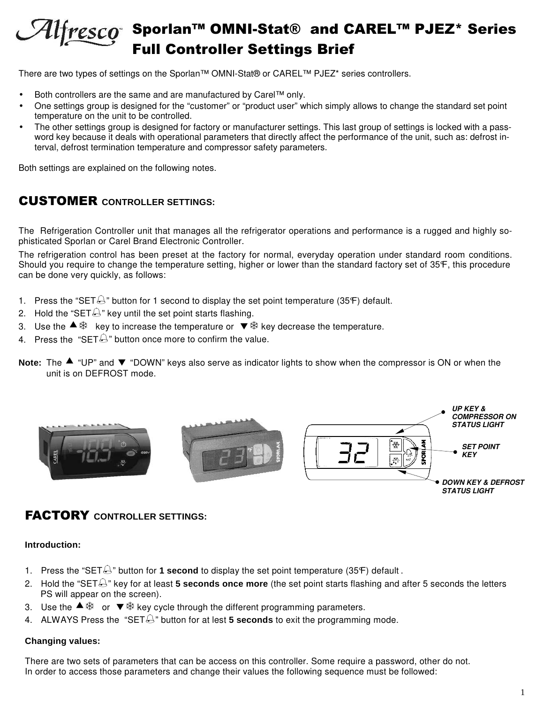## Sporlan™ OMNI-Stat® and CAREL™ PJEZ\* Series Alfresco **I Controller Settings Brief**

There are two types of settings on the Sporlan™ OMNI-Stat® or CAREL™ PJEZ\* series controllers.

- Both controllers are the same and are manufactured by Carel™ only.
- One settings group is designed for the "customer" or "product user" which simply allows to change the standard set point temperature on the unit to be controlled.
- The other settings group is designed for factory or manufacturer settings. This last group of settings is locked with a password key because it deals with operational parameters that directly affect the performance of the unit, such as: defrost interval, defrost termination temperature and compressor safety parameters.

Both settings are explained on the following notes.

## CUSTOMER **CONTROLLER SETTINGS:**

The Refrigeration Controller unit that manages all the refrigerator operations and performance is a rugged and highly sophisticated Sporlan or Carel Brand Electronic Controller.

The refrigeration control has been preset at the factory for normal, everyday operation under standard room conditions. Should you require to change the temperature setting, higher or lower than the standard factory set of 35°F, this procedure can be done very quickly, as follows:

- 1. Press the "SET $\bigoplus$ " button for 1 second to display the set point temperature (35 $\mathsf{F}$ ) default.
- 2. Hold the "SET $\bigcirc$ " key until the set point starts flashing.
- 3. Use the  $\blacktriangle$   $\overset{\text{\tiny{def}}}{\gg}$  key to increase the temperature or  $\blacktriangledown$   $\overset{\text{\tiny{def}}}{\gg}$  key decrease the temperature.
- 4. Press the "SET $\bigoplus$ " button once more to confirm the value.
- Note: The  $\blacktriangle$  "UP" and  $\nabla$  "DOWN" keys also serve as indicator lights to show when the compressor is ON or when the unit is on DEFROST mode.



## FACTORY **CONTROLLER SETTINGS:**

**Introduction:** 

- 1. Press the "SET $\bigcirc$ " button for **1 second** to display the set point temperature (35°F) default.
- 2. Hold the "SET<sup> $\triangle$ </sup>" key for at least **5 seconds once more** (the set point starts flashing and after 5 seconds the letters PS will appear on the screen).
- 3. Use the  $\stackrel{\cdot}{\bullet}$   $\stackrel{\cdot}{\ast}$  or  $\stackrel{\cdot}{\bullet}$   $\stackrel{\cdot}{\ast}$  key cycle through the different programming parameters.
- 4. ALWAYS Press the "SET  $\bigcirc$ " button for at lest **5 seconds** to exit the programming mode.

#### **Changing values:**

There are two sets of parameters that can be access on this controller. Some require a password, other do not. In order to access those parameters and change their values the following sequence must be followed: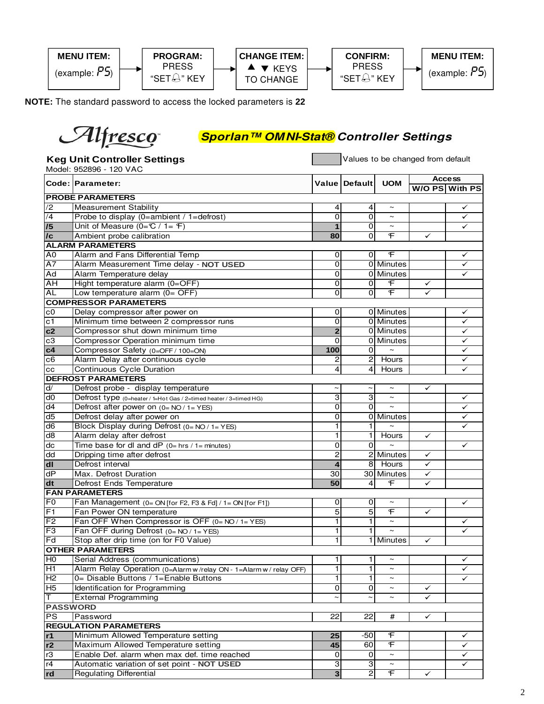

**NOTE:** The standard password to access the locked parameters is **22**

# Alfresco

## **Sporlan™ OMNI-Stat® Controller Settings**

|                 | <b>Keg Unit Controller Settings</b><br>Model: 952896 - 120 VAC    |                         | Values to be changed from default |                         |              |                                 |  |
|-----------------|-------------------------------------------------------------------|-------------------------|-----------------------------------|-------------------------|--------------|---------------------------------|--|
|                 | Code: Parameter:                                                  |                         | Value Default                     | <b>UOM</b>              |              | <b>Access</b><br>W/O PS With PS |  |
|                 | <b>PROBE PARAMETERS</b>                                           |                         |                                   |                         |              |                                 |  |
| /2              | <b>Measurement Stability</b>                                      | 4                       | 4                                 | $\sim$                  |              | ✓                               |  |
| /4              | Probe to display (0=ambient / 1=defrost)                          | $\overline{0}$          | $\overline{0}$                    | $\sim$                  |              | ✓                               |  |
| $\overline{15}$ | Unit of Measure $(0 = C / 1 = F)$                                 | $\overline{1}$          | $\overline{0}$                    | $\sim$                  |              | ✓                               |  |
| /c              | Ambient probe calibration                                         | 80                      | $\overline{0}$                    | F                       | ✓            |                                 |  |
|                 | <b>ALARM PARAMETERS</b>                                           |                         |                                   |                         |              |                                 |  |
| A <sub>0</sub>  | Alarm and Fans Differential Temp                                  | $\overline{0}$          | 0                                 | F                       |              | ✓                               |  |
| A7              | Alarm Measurement Time delay - NOT USED                           | $\overline{0}$          |                                   | 0 Minutes               |              | ✓                               |  |
| Ad              | Alarm Temperature delay                                           | 0                       |                                   | 0 Minutes               |              | ✓                               |  |
| AH              | Hight temperature alarm (0=OFF)                                   | 0                       | $\overline{0}$                    | F                       | ✓            |                                 |  |
| <b>AL</b>       | Low temperature alarm $(0=$ OFF)                                  | $\overline{0}$          | $\Omega$                          | $\overline{\mathbf{f}}$ | ✓            |                                 |  |
|                 | <b>COMPRESSOR PARAMETERS</b>                                      |                         |                                   |                         |              |                                 |  |
| c0              | Delay compressor after power on                                   | 0                       |                                   | 0 Minutes               |              | ✓                               |  |
| $\overline{c1}$ | Minimum time between 2 compressor runs                            | 0                       |                                   | 0 Minutes               |              | ✓                               |  |
| c2              | Compressor shut down minimum time                                 | $\overline{\mathbf{2}}$ |                                   | 0 Minutes               |              | ✓                               |  |
| c3              | Compressor Operation minimum time                                 | $\overline{0}$          |                                   | 0 Minutes               |              | ✓                               |  |
| c4              | Compressor Safety (0=OFF / 100=ON)                                | 100                     | $\Omega$                          | $\sim$                  |              | ✓                               |  |
| c6              | Alarm Delay after continuous cycle                                | 2                       | $\mathbf{2}$                      | Hours                   |              | ✓                               |  |
| cс              | <b>Continuous Cycle Duration</b>                                  | 4                       | $\overline{4}$                    | Hours                   |              | ✓                               |  |
|                 | <b>DEFROST PARAMETERS</b>                                         |                         |                                   |                         |              |                                 |  |
| d/              | Defrost probe - display temperature                               | $\thicksim$             | $\thicksim$                       | $\sim$                  | ✓            |                                 |  |
| d0              | Defrost type (0=heater / 1=Hot Gas / 2=timed heater / 3=timed HG) | 3                       | $\overline{3}$                    | $\sim$                  |              | ✓                               |  |
| d4              | Defrost after power on $(0 = NO / 1 = YES)$                       | 0                       | $\overline{0}$                    | $\sim$                  |              | ✓                               |  |
| $\overline{d5}$ | Defrost delay after power on                                      | 0                       |                                   | 0 Minutes               |              | ✓                               |  |
| $\overline{d6}$ | Block Display during Defrost (0= NO / 1= YES)                     | T                       | 1                                 | $\sim$                  |              | ✓                               |  |
| d8              | Alarm delay after defrost                                         | ī                       | 1                                 | Hours                   | ✓            |                                 |  |
| dc              | Time base for dl and $dP$ (0= hrs / 1= minutes)                   | 0                       | 0                                 | $\tilde{\phantom{a}}$   |              | ✓                               |  |
| dd              | Dripping time after defrost                                       | $\overline{2}$          |                                   | 2 Minutes               | ✓            |                                 |  |
| $d\mathbf{l}$   | Defrost interval                                                  | $\overline{4}$          | 8 <sup>1</sup>                    | Hours                   | ✓            |                                 |  |
| $\overline{dP}$ | Max. Defrost Duration                                             | 30                      |                                   | 30 Minutes              | ✓            |                                 |  |
| dt              | Defrost Ends Temperature                                          | 50                      | 4                                 | F                       | ✓            |                                 |  |
|                 | <b>FAN PARAMETERS</b>                                             |                         |                                   |                         |              |                                 |  |
| F <sub>0</sub>  | Fan Management $(0 = ON$ [for F2, F3 & Fd] / 1 = ON [for F1])     | 0                       | 0                                 | $\thicksim$             |              | ✓                               |  |
| F1              | Fan Power ON temperature                                          | 5                       | 5                                 | F                       | ✓            |                                 |  |
| F2              | Fan OFF When Compressor is OFF $(0 = NO / 1 = YES)$               | 1                       | $\mathbf{1}$                      | $\sim$                  |              | ✓                               |  |
| F3              | Fan OFF during Defrost (0= NO / 1= YES)                           | 1                       | 1                                 | $\tilde{}$              |              | ✓                               |  |
| Fd              | Stop after drip time (on for F0 Value)                            | 1                       |                                   | 1 Minutes               | ✓            |                                 |  |
|                 | <b>OTHER PARAMETERS</b>                                           |                         |                                   |                         |              |                                 |  |
| H <sub>0</sub>  | Serial Address (communications)                                   | $\mathbf{1}$            | $\mathbf{1}$                      | $\sim$                  |              | ✓                               |  |
| $\overline{H1}$ | Alarm Relay Operation (0=Alarm w/relay ON - 1=Alarm w/relay OFF)  | ī                       | 1                                 |                         |              | ✓                               |  |
| $\overline{H2}$ | 0= Disable Buttons / 1=Enable Buttons                             | 1                       | 1                                 | $\tilde{}$              |              | ✓                               |  |
| H <sub>5</sub>  | Identification for Programming                                    | 0                       | 0                                 | $\thicksim$             | ✓            |                                 |  |
| IΤ              | <b>External Programming</b>                                       | $\thicksim$             | $\thicksim$                       | $\thicksim$             | ✓            |                                 |  |
| <b>PASSWORD</b> |                                                                   |                         |                                   |                         |              |                                 |  |
| $\overline{PS}$ | Password                                                          | 22                      | 22                                | #                       | ✓            |                                 |  |
|                 | <b>REGULATION PARAMETERS</b>                                      |                         |                                   |                         |              |                                 |  |
| r1              | Minimum Allowed Temperature setting                               | 25                      | $-50$                             | F                       |              | ✓                               |  |
| r2              | Maximum Allowed Temperature setting                               | 45                      | 60                                | F                       |              | ✓                               |  |
| r3              | Enable Def. alarm when max def. time reached                      | 0                       | $\mathbf 0$                       | $\sim$                  |              | ✓                               |  |
| r4              | Automatic variation of set point - NOT USED                       | 3                       | 3                                 | $\sim$                  |              | ✓                               |  |
| rd              | <b>Regulating Differential</b>                                    | $\overline{\mathbf{3}}$ | $\overline{2}$                    | F                       | $\checkmark$ |                                 |  |
|                 |                                                                   |                         |                                   |                         |              |                                 |  |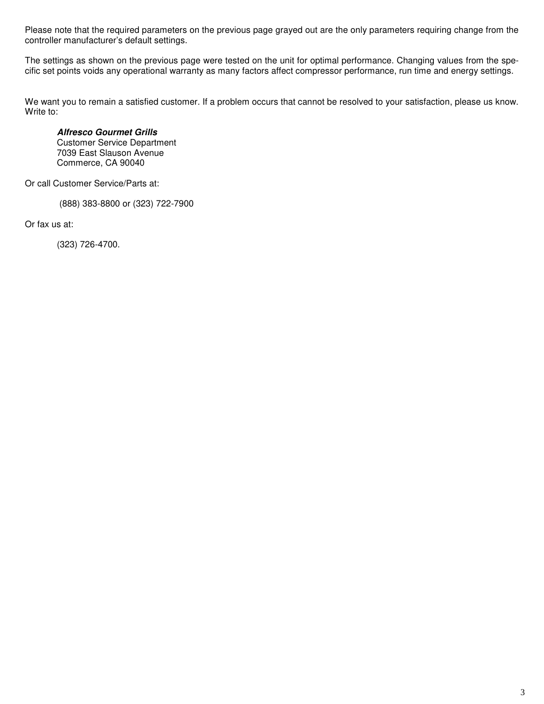Please note that the required parameters on the previous page grayed out are the only parameters requiring change from the controller manufacturer's default settings.

The settings as shown on the previous page were tested on the unit for optimal performance. Changing values from the specific set points voids any operational warranty as many factors affect compressor performance, run time and energy settings.

We want you to remain a satisfied customer. If a problem occurs that cannot be resolved to your satisfaction, please us know. Write to:

**Alfresco Gourmet Grills** Customer Service Department 7039 East Slauson Avenue Commerce, CA 90040

Or call Customer Service/Parts at:

(888) 383-8800 or (323) 722-7900

Or fax us at:

(323) 726-4700.